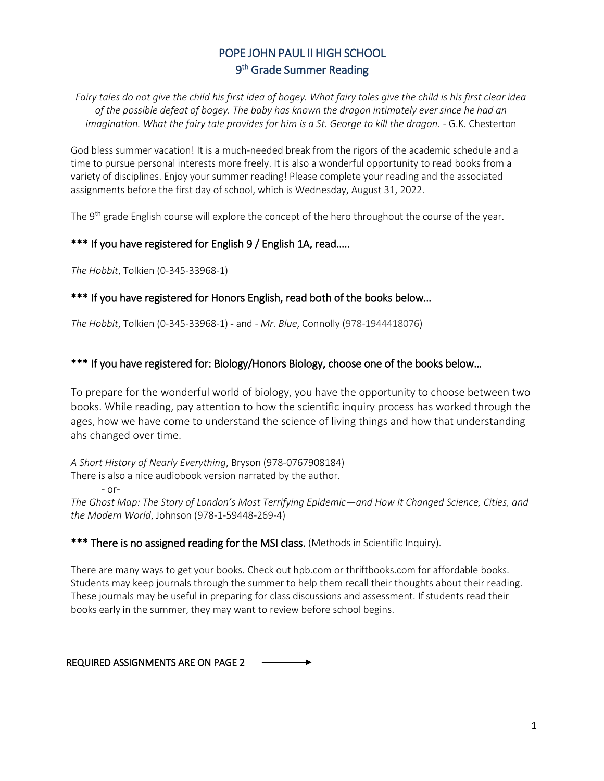# POPE JOHN PAUL II HIGH SCHOOL 9<sup>th</sup> Grade Summer Reading

*Fairy tales do not give the child his first idea of bogey. What fairy tales give the child is his first clear idea of the possible defeat of bogey. The baby has known the dragon intimately ever since he had an imagination. What the fairy tale provides for him is a St. George to kill the dragon.* - G.K. Chesterton

God bless summer vacation! It is a much-needed break from the rigors of the academic schedule and a time to pursue personal interests more freely. It is also a wonderful opportunity to read books from a variety of disciplines. Enjoy your summer reading! Please complete your reading and the associated assignments before the first day of school, which is Wednesday, August 31, 2022.

The 9<sup>th</sup> grade English course will explore the concept of the hero throughout the course of the year.

# \*\*\* If you have registered for English 9 / English 1A, read.....

*The Hobbit*, Tolkien (0-345-33968-1)

## \*\*\* If you have registered for Honors English, read both of the books below...

*The Hobbit*, Tolkien (0-345-33968-1) - and - *Mr. Blue*, Connolly (978-1944418076)

## \*\*\* If you have registered for: Biology/Honors Biology, choose one of the books below...

To prepare for the wonderful world of biology, you have the opportunity to choose between two books. While reading, pay attention to how the scientific inquiry process has worked through the ages, how we have come to understand the science of living things and how that understanding ahs changed over time.

*A Short History of Nearly Everything*, Bryson (978-0767908184) There is also a nice audiobook version narrated by the author. - or-

*The Ghost Map: The Story of London's Most Terrifying Epidemic—and How It Changed Science, Cities, and the Modern World*, Johnson (978-1-59448-269-4)

## \*\*\* There is no assigned reading for the MSI class. (Methods in Scientific Inquiry).

There are many ways to get your books. Check out hpb.com or thriftbooks.com for affordable books. Students may keep journals through the summer to help them recall their thoughts about their reading. These journals may be useful in preparing for class discussions and assessment. If students read their books early in the summer, they may want to review before school begins.

REQUIRED ASSIGNMENTS ARE ON PAGE 2